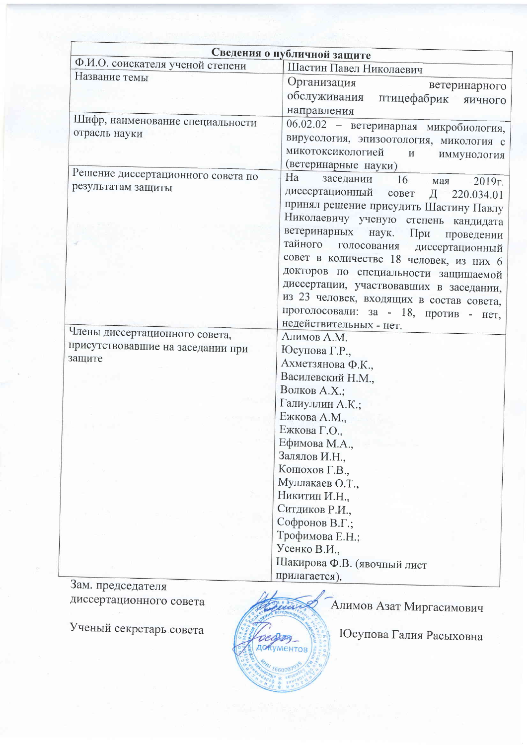|                                    | Сведения о публичной защите                                   |
|------------------------------------|---------------------------------------------------------------|
| Ф.И.О. соискателя ученой степени   | Шастин Павел Николаевич                                       |
| Название темы                      | Организация<br>ветеринарного<br>обслуживания птицефабрик      |
|                                    | яичного<br>направления                                        |
| Шифр, наименование специальности   | 06.02.02 - ветеринарная микробиология,                        |
| отрасль науки                      | вирусология, эпизоотология, микология с                       |
|                                    | микотоксикологией<br>$\boldsymbol{\mathrm{M}}$<br>иммунология |
|                                    | (ветеринарные науки)                                          |
| Решение диссертационного совета по | Ha<br>заседании<br>16<br>мая<br>2019r.                        |
| результатам защиты                 | диссертационный совет<br>Д<br>220.034.01                      |
|                                    | принял решение присудить Шастину Павлу                        |
|                                    | Николаевичу ученую степень кандидата                          |
|                                    | ветеринарных<br>наук.<br>При<br>проведении                    |
|                                    | тайного<br>голосования диссертационный                        |
|                                    | совет в количестве 18 человек, из них 6                       |
|                                    | докторов по специальности защищаемой                          |
|                                    | диссертации, участвовавших в заседании,                       |
|                                    | из 23 человек, входящих в состав совета,                      |
|                                    | проголосовали: за - 18, против<br>$-$ HeT,                    |
| Члены диссертационного совета,     | недействительных - нет.                                       |
| присутствовавшие на заседании при  | Алимов А.М.                                                   |
| защите                             | Юсупова Г.Р.,                                                 |
|                                    | Ахметзянова Ф.К.,<br>Василевский Н.М.,                        |
|                                    | Волков А.Х.;                                                  |
|                                    | Галиуллин А.К.;                                               |
|                                    | Ежкова А.М.,                                                  |
|                                    | Ежкова Г.О.,                                                  |
|                                    | Ефимова М.А.,                                                 |
|                                    | Залялов И.Н.,                                                 |
|                                    | Конюхов Г.В.,                                                 |
|                                    | Муллакаев О.Т.,                                               |
|                                    | Никитин И.Н.,                                                 |
|                                    | Ситдиков Р.И.,                                                |
|                                    | Софронов В.Г.;                                                |
|                                    | Трофимова Е.Н.;                                               |
|                                    | Усенко В.И.,                                                  |
|                                    | Шакирова Ф.В. (явочный лист                                   |
| $3$ ам предселателя                | прилагается).                                                 |

зам. председателя диссертационного совета

Ученый секретарь совета



Алимов Азат Миргасимович

Юсупова Галия Расыховна